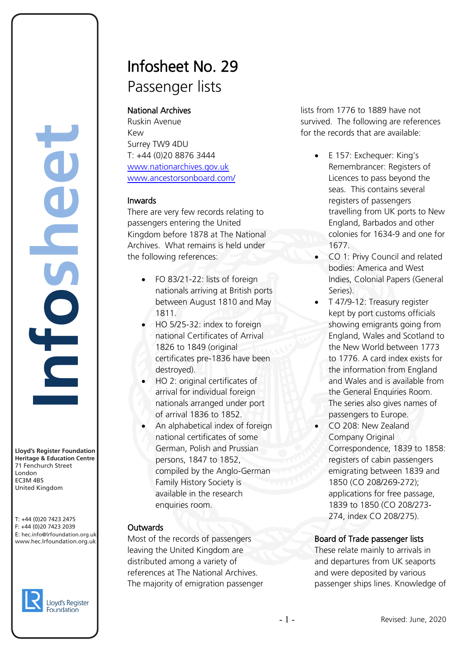**Lloyd's Register Foundation Heritage & Education Centre** 71 Fenchurch Street London **Information** EC3M 4BS United Kingdom

T: +44 (0)20 7423 2475 F: +44 (0)20 7423 2039 Fax: +44 (0)20 7423 2039 E: hec.info@lrfoundation.org.uk www.hec.lrfoundation.org.uk



# Infosheet No. 29 Passenger lists

# National Archives

Ruskin Avenue Kew Surrey TW9 4DU T: +44 (0)20 8876 3444 [www.nationarchives.gov.uk](http://www.pro.gov.uk/) [www.ancestorsonboard.com/](http://www.ancestorsonboard.com/)

# Inwards

There are very few records relating to passengers entering the United Kingdom before 1878 at The National Archives. What remains is held under the following references:

- FO 83/21-22: lists of foreign nationals arriving at British ports between August 1810 and May 1811.
- HO 5/25-32: index to foreign national Certificates of Arrival 1826 to 1849 (original certificates pre-1836 have been destroyed).
- HO 2: original certificates of arrival for individual foreign nationals arranged under port of arrival 1836 to 1852.
- An alphabetical index of foreign national certificates of some German, Polish and Prussian persons, 1847 to 1852, compiled by the Anglo-German Family History Society is available in the research enquiries room.

# Outwards

Most of the records of passengers leaving the United Kingdom are distributed among a variety of references at The National Archives. The majority of emigration passenger lists from 1776 to 1889 have not survived. The following are references for the records that are available:

- E 157: Exchequer: King's Remembrancer: Registers of Licences to pass beyond the seas. This contains several registers of passengers travelling from UK ports to New England, Barbados and other colonies for 1634-9 and one for 1677.
- CO 1: Privy Council and related bodies: America and West Indies, Colonial Papers (General Series).
- T 47/9-12: Treasury register kept by port customs officials showing emigrants going from England, Wales and Scotland to the New World between 1773 to 1776. A card index exists for the information from England and Wales and is available from the General Enquiries Room. The series also gives names of passengers to Europe.
- CO 208: New Zealand Company Original Correspondence, 1839 to 1858: registers of cabin passengers emigrating between 1839 and 1850 (CO 208/269-272); applications for free passage, 1839 to 1850 (CO 208/273- 274, index CO 208/275).

# Board of Trade passenger lists

These relate mainly to arrivals in and departures from UK seaports and were deposited by various passenger ships lines. Knowledge of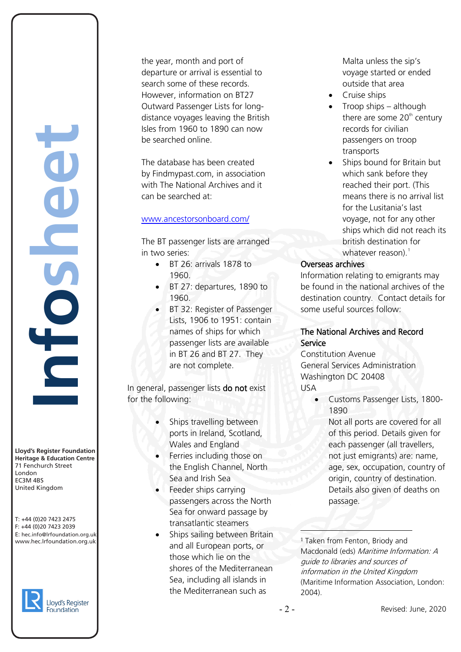the year, month and port of departure or arrival is essential to search some of these records. However, information on BT27 Outward Passenger Lists for longdistance voyages leaving the British Isles from 1960 to 1890 can now be searched online.

The database has been created by Findmypast.com, in association with The National Archives and it can be searched at:

#### [www.ancestorsonboard.com/](http://www.ancestorsonboard.com/)

The BT passenger lists are arranged in two series:

- BT 26: arrivals 1878 to 1960.
- BT 27: departures, 1890 to 1960.
- BT 32: Register of Passenger Lists, 1906 to 1951: contain names of ships for which passenger lists are available in BT 26 and BT 27. They are not complete.

In general, passenger lists do not exist for the following:

- Ships travelling between ports in Ireland, Scotland, Wales and England
- Ferries including those on the English Channel, North Sea and Irish Sea
- Feeder ships carrying passengers across the North Sea for onward passage by transatlantic steamers
- Ships sailing between Britain and all European ports, or those which lie on the shores of the Mediterranean Sea, including all islands in the Mediterranean such as

Malta unless the sip's voyage started or ended outside that area

- Cruise ships
- Troop ships although there are some  $20<sup>th</sup>$  century records for civilian passengers on troop transports
- Ships bound for Britain but which sank before they reached their port. (This means there is no arrival list for the Lusitania's last voyage, not for any other ships which did not reach its british destination for whatever reason). $<sup>1</sup>$  $<sup>1</sup>$  $<sup>1</sup>$ </sup>

#### Overseas archives

Information relating to emigrants may be found in the national archives of the destination country. Contact details for some useful sources follow:

#### The National Archives and Record Service

Constitution Avenue General Services Administration Washington DC 20408 USA

- Customs Passenger Lists, 1800- 1890
	- Not all ports are covered for all of this period. Details given for each passenger (all travellers, not just emigrants) are: name, age, sex, occupation, country of origin, country of destination. Details also given of deaths on passage.

<sup>1</sup> Taken from Fenton, Briody and Macdonald (eds) Maritime Information: A guide to libraries and sources of information in the United Kingdom (Maritime Information Association, London: 2004).

 $\frac{1}{2}$ 

**Lloyd's Register Foundation Heritage & Education Centre** 71 Fenchurch Street London **Information** EC3M 4BS United Kingdom

<span id="page-1-0"></span>



**e**

**t**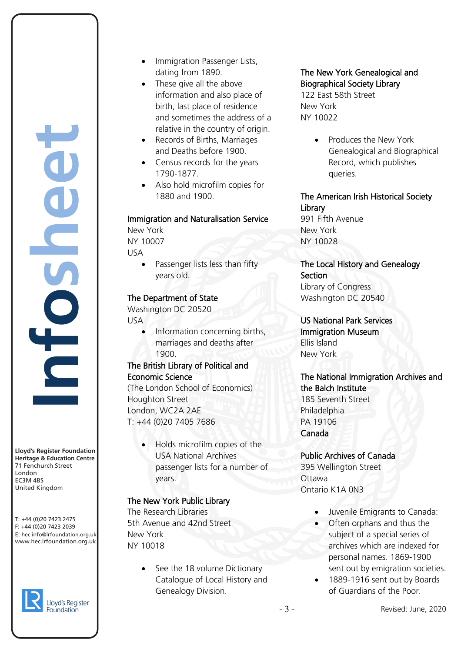**Lloyd's Register Foundation Heritage & Education Centre** 71 Fenchurch Street London **Information** EC3M 4BS United Kingdom yd's Register Foundat<br>Vitage & Education Cerenchurch Street<br>Fenchurch Street<br>Idon<br>144 (0)20 7423 2475<br>44 (0)20 7423 2475<br>ec.info@Irfoundation.org<br>w.hec.Irfoundation.org

**n**

**o**

**s**

**e**

**e**

**t**

**h**

**f**

T: +44 (0)20 7423 2475 F: +44 (0)20 7423 2039 Fax: +44 (0)20 7423 2039 E: hec.info@lrfoundation.org.uk www.hec.lrfoundation.org.uk



- Immigration Passenger Lists, dating from 1890.
- These give all the above information and also place of birth, last place of residence and sometimes the address of a relative in the country of origin.
- Records of Births, Marriages and Deaths before 1900.
- Census records for the years 1790-1877.
- Also hold microfilm copies for 1880 and 1900.

#### Immigration and Naturalisation Service

New York NY 10007 USA

> Passenger lists less than fifty years old.

#### The Department of State

Washington DC 20520 USA

> • Information concerning births, marriages and deaths after 1900.

#### The British Library of Political and Economic Science

(The London School of Economics) Houghton Street London, WC2A 2AE T: +44 (0)20 7405 7686

> • Holds microfilm copies of the USA National Archives passenger lists for a number of years.

# The New York Public Library

The Research Libraries 5th Avenue and 42nd Street New York NY 10018

> See the 18 volume Dictionary Catalogue of Local History and Genealogy Division.

# The New York Genealogical and Biographical Society Library

122 East 58th Street New York NY 10022

> • Produces the New York Genealogical and Biographical Record, which publishes queries.

# The American Irish Historical Society **Library**

991 Fifth Avenue New York NY 10028

The Local History and Genealogy **Section** Library of Congress Washington DC 20540

US National Park Services Immigration Museum Ellis Island New York

#### The National Immigration Archives and the Balch Institute 185 Seventh Street Philadelphia PA 19106

Canada

Public Archives of Canada 395 Wellington Street **Ottawa** Ontario K1A 0N3

- Juvenile Emigrants to Canada:
- Often orphans and thus the subject of a special series of archives which are indexed for personal names. 1869-1900 sent out by emigration societies.
- 1889-1916 sent out by Boards of Guardians of the Poor.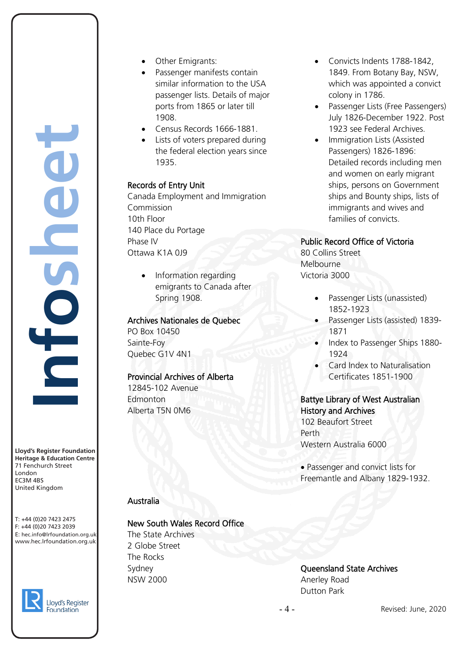**Lloyd's Register Foundation Heritage & Education Centre** 71 Fenchurch Street London **Information** EC3M 4BS yd's Register Foundat<br>Vitage & Education Cerenchurch Street<br>Fenchurch Street<br>Idon<br>144 (0)20 7423 2475<br>44 (0)20 7423 2475<br>ec.info@Irfoundation.org<br>w.hec.Irfoundation.org

**n**

**o**

**s**

**e**

**e**

**t**

**h**

**f**

United Kingdom T: +44 (0)20 7423 2475 F: +44 (0)20 7423 2039 Fax: +44 (0)20 7423 2039 E: hec.info@lrfoundation.org.uk



Foundation

www.hec.lrfoundation.org.uk

- Other Emigrants:
- Passenger manifests contain similar information to the USA passenger lists. Details of major ports from 1865 or later till 1908.
- Census Records 1666-1881.
- Lists of voters prepared during the federal election years since 1935.

# Records of Entry Unit

Canada Employment and Immigration Commission 10th Floor 140 Place du Portage Phase IV Ottawa K1A 0J9

• Information regarding emigrants to Canada after Spring 1908.

#### Archives Nationales de Quebec

PO Box 10450 Sainte-Foy Quebec G1V 4N1

# Provincial Archives of Alberta

12845-102 Avenue **Edmonton** Alberta T5N 0M6

# Australia

# New South Wales Record Office

The State Archives 2 Globe Street The Rocks Sydney NSW 2000

- Convicts Indents 1788-1842, 1849. From Botany Bay, NSW, which was appointed a convict colony in 1786.
- Passenger Lists (Free Passengers) July 1826-December 1922. Post 1923 see Federal Archives.
- Immigration Lists (Assisted Passengers) 1826-1896: Detailed records including men and women on early migrant ships, persons on Government ships and Bounty ships, lists of immigrants and wives and families of convicts.

# Public Record Office of Victoria

80 Collins Street Melbourne Victoria 3000

- Passenger Lists (unassisted) 1852-1923
- Passenger Lists (assisted) 1839- 1871
- Index to Passenger Ships 1880- 1924
- Card Index to Naturalisation Certificates 1851-1900

# Battye Library of West Australian History and Archives 102 Beaufort Street

Perth Western Australia 6000

• Passenger and convict lists for Freemantle and Albany 1829-1932.

# Queensland State Archives Anerley Road Dutton Park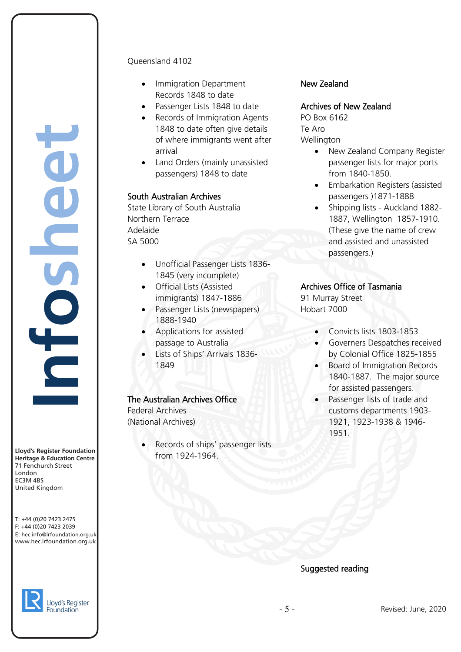**nfosheet**yd's Register Foundat<br>Vitage & Education Cerenchurch Street<br>Fenchurch Street<br>Idon<br>144 (0)20 7423 2475<br>44 (0)20 7423 2475<br>ec.info@Irfoundation.org<br>w.hec.Irfoundation.org

**Lloyd's Register Foundation Heritage & Education Centre** 71 Fenchurch Street London **Information** EC3M 4BS United Kingdom

#### T: +44 (0)20 7423 2475 F: +44 (0)20 7423 2039 Fax: +44 (0)20 7423 2039 E: hec.info@lrfoundation.org.uk www.hec.lrfoundation.org.uk



#### Queensland 4102

- Immigration Department Records 1848 to date
- Passenger Lists 1848 to date
- Records of Immigration Agents 1848 to date often give details of where immigrants went after arrival
- Land Orders (mainly unassisted passengers) 1848 to date

#### South Australian Archives

State Library of South Australia Northern Terrace Adelaide SA 5000

- Unofficial Passenger Lists 1836- 1845 (very incomplete)
- Official Lists (Assisted immigrants) 1847-1886
- Passenger Lists (newspapers) 1888-1940
- Applications for assisted passage to Australia
- Lists of Ships' Arrivals 1836- 1849

#### The Australian Archives Office

Federal Archives (National Archives)

> Records of ships' passenger lists from 1924-1964.

#### New Zealand

#### Archives of New Zealand

PO Box 6162 Te Aro Wellington

- New Zealand Company Register passenger lists for major ports from 1840-1850.
- Embarkation Registers (assisted passengers )1871-1888
- Shipping lists Auckland 1882- 1887, Wellington 1857-1910. (These give the name of crew and assisted and unassisted passengers.)

#### Archives Office of Tasmania

91 Murray Street Hobart 7000

- Convicts lists 1803-1853
- Governers Despatches received by Colonial Office 1825-1855
- Board of Immigration Records 1840-1887. The major source for assisted passengers.
- Passenger lists of trade and customs departments 1903- 1921, 1923-1938 & 1946- 1951.

#### Suggested reading